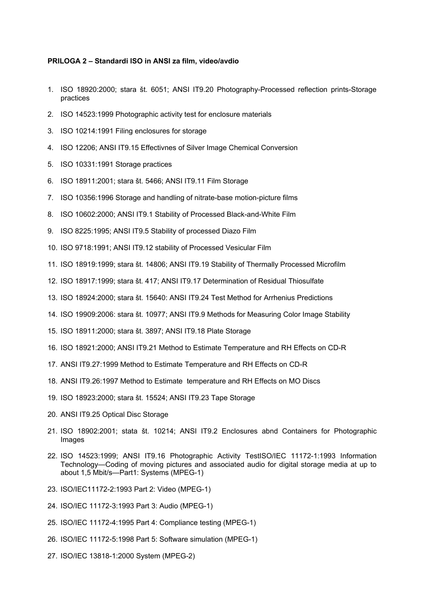## **PRILOGA 2 – Standardi ISO in ANSI za film, video/avdio**

- 1. ISO 18920:2000; stara št. 6051; ANSI IT9.20 Photography-Processed reflection prints-Storage practices
- 2. ISO 14523:1999 Photographic activity test for enclosure materials
- 3. ISO 10214:1991 Filing enclosures for storage
- 4. ISO 12206; ANSI IT9.15 Effectivnes of Silver Image Chemical Conversion
- 5. ISO 10331:1991 Storage practices
- 6. ISO 18911:2001; stara št. 5466; ANSI IT9.11 Film Storage
- 7. ISO 10356:1996 Storage and handling of nitrate-base motion-picture films
- 8. ISO 10602:2000; ANSI IT9.1 Stability of Processed Black-and-White Film
- 9. ISO 8225:1995; ANSI IT9.5 Stability of processed Diazo Film
- 10. ISO 9718:1991; ANSI IT9.12 stability of Processed Vesicular Film
- 11. ISO 18919:1999; stara št. 14806; ANSI IT9.19 Stability of Thermally Processed Microfilm
- 12. ISO 18917:1999; stara št. 417; ANSI IT9.17 Determination of Residual Thiosulfate
- 13. ISO 18924:2000; stara št. 15640: ANSI IT9.24 Test Method for Arrhenius Predictions
- 14. ISO 19909:2006: stara št. 10977; ANSI IT9.9 Methods for Measuring Color Image Stability
- 15. ISO 18911:2000; stara št. 3897; ANSI IT9.18 Plate Storage
- 16. ISO 18921:2000; ANSI IT9.21 Method to Estimate Temperature and RH Effects on CD-R
- 17. ANSI IT9.27:1999 Method to Estimate Temperature and RH Effects on CD-R
- 18. ANSI IT9.26:1997 Method to Estimate temperature and RH Effects on MO Discs
- 19. ISO 18923:2000; stara št. 15524; ANSI IT9.23 Tape Storage
- 20. ANSI IT9.25 Optical Disc Storage
- 21. ISO 18902:2001; stata št. 10214; ANSI IT9.2 Enclosures abnd Containers for Photographic Images
- 22. ISO 14523:1999; ANSI IT9.16 Photographic Activity TestISO/IEC 11172-1:1993 Information Technology—Coding of moving pictures and associated audio for digital storage media at up to about 1,5 Mbit/s—Part1: Systems (MPEG-1)
- 23. ISO/IEC11172-2:1993 Part 2: Video (MPEG-1)
- 24. ISO/IEC 11172-3:1993 Part 3: Audio (MPEG-1)
- 25. ISO/IEC 11172-4:1995 Part 4: Compliance testing (MPEG-1)
- 26. ISO/IEC 11172-5:1998 Part 5: Software simulation (MPEG-1)
- 27. ISO/IEC 13818-1:2000 System (MPEG-2)